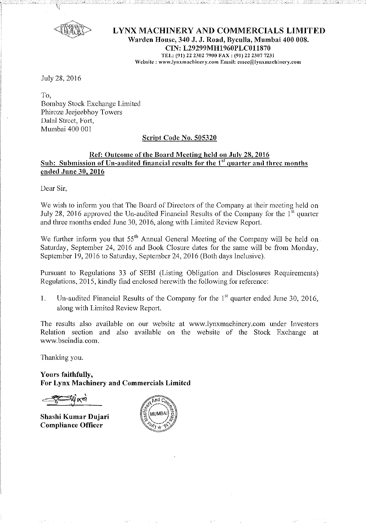

## **LYNX MACHINERY AND COMMERCIALS LIMITED Warden House, 340 J. J. Road, Byculla, Mumbai 400 008. CIN: L29299MH1960PLC011870**  TEL: (91) 22 2302 7900 FAX: (91) 22 2307 7231  $\mathbf{We}\mathbf{b}$ site: www.lynxmachinery.com Email: cosec@lynxmachinery.com

.July 28, 2016

To, Bombay Stock Exchange Limited Phiroze Jeejeebhoy Towers Dalal Street, Fort, Mumbai 400 001

## **Script Code No. 505320**

# Ref: Outcome of the Board Meeting held on July 28, 2016 **Sub: Submission of Un-audited financial results for the 1<sup>st</sup> quarter and three months ended June 30, 2016**

Dear Sir,

We wish to inform you that The Board of Directors of the Company at their meeting held on July 28, 2016 approved the Un-audited Financial Results of the Company for the  $1<sup>st</sup>$  quarter and three months ended June 30,2016, along with Limited Review Report.

We further inform you that  $55<sup>th</sup>$  Annual General Meeting of the Company will be held on Saturday, September 24, 2016 and Book Closure dates for the same will be from Monday, September 19, 2016 to Saturday, September 24, 2016 (Both days Inclusive).

Pursuant to Regulations 33 of SEBI (Listing Obligation and Disclosures Requirements) Regulations, 2015, kindly find enclosed herewith the following for reference:

1. Un-audited Financial Results of the Company for the  $1<sup>st</sup>$  quarter ended June 30, 2016, along with Limited Review Report.

The results also available on our website at www.lynxmachinery.com under Investors Relation section and also available on the website of the Stock Excbange at www.bseindia.com.

Thanking you.

**Yours faithfully, For Lynx Machinery and Commercials Limited** 

**Shashi Kumar Dujari Compliance Officer** 

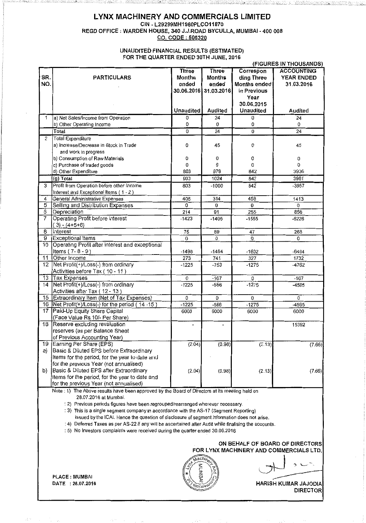### **LYNX MACHINERY AND COMMERCIALS LIMITED**  CIN- L29299MH1960PLC011870 REGD OFFICE :WARDEN HOUSE, 340 J.J.ROAD BYCULLA, MUMBAI - 400 008 CO. CODE : 505320

en de la comunicación de la comunicación

'\_,-....

12 Jan 10

#### UNAUDITED FINANCIAL RESULTS (ESTIMATED) FOR THE QUARTER ENDED 30TH JUNE, 2016

| (FIGURES IN THOUSANDS)                                                                          |                                                                                                        |               |                       |              |                   |  |
|-------------------------------------------------------------------------------------------------|--------------------------------------------------------------------------------------------------------|---------------|-----------------------|--------------|-------------------|--|
|                                                                                                 |                                                                                                        | <b>Three</b>  | <b>Three</b>          | Correspon    | <b>ACCOUNTING</b> |  |
| SR.                                                                                             | <b>PARTICULARS</b>                                                                                     | <b>Months</b> | <b>Months</b>         | ding Three   | <b>YEAR ENDED</b> |  |
| NO.                                                                                             |                                                                                                        | ended         | ended                 | Months ended | 31.03.2016        |  |
|                                                                                                 |                                                                                                        |               | 30.06.2016 31.03.2016 | in Previous  |                   |  |
|                                                                                                 |                                                                                                        |               |                       | Year         |                   |  |
|                                                                                                 |                                                                                                        |               |                       | 30.06.2015   |                   |  |
|                                                                                                 |                                                                                                        | Unaudited     | Audited               | Unaudited    | Audited           |  |
|                                                                                                 |                                                                                                        |               |                       |              |                   |  |
| 1                                                                                               | a) Net Sales/Income from Operation                                                                     | 0             | 24                    | 0            | 24                |  |
|                                                                                                 | b) Other Operating Income                                                                              | 0             | 0                     | 0            | 0                 |  |
|                                                                                                 | Total                                                                                                  | 0             | $\overline{24}$       | 0            | $\overline{24}$   |  |
| $\overline{2}$                                                                                  | Total Expenditure                                                                                      |               |                       |              |                   |  |
|                                                                                                 | a) Increase/Decrease in Stock in Trade                                                                 | 0             | 45                    | 0            | 45                |  |
|                                                                                                 | and work in progress                                                                                   |               |                       |              |                   |  |
|                                                                                                 | b) Consumption of Raw Materials                                                                        | 0             | 0                     | 0            | 0                 |  |
|                                                                                                 | c) Purchase of traded goods                                                                            | 0             | 0                     | 0            | 0                 |  |
|                                                                                                 | d) Other Expenditure                                                                                   | 803           | 979                   | 842          | 3936              |  |
|                                                                                                 | (g) Total                                                                                              | 603           | 1024                  | 842          | 3981              |  |
| 3                                                                                               | Profit from Operation before other Income                                                              | 803           | $-1000$               | 842          | $-3957$           |  |
|                                                                                                 | Interest and Exceptional Items (1-2)                                                                   |               |                       |              |                   |  |
|                                                                                                 |                                                                                                        | 406           |                       | 458          | 1413              |  |
| $\overline{4}$                                                                                  | General Administrative Expenses                                                                        |               | 314                   | 0            | 0                 |  |
| 5                                                                                               | Selling and Distribution Expenses                                                                      | 0             | 0                     |              |                   |  |
| $\overline{6}$                                                                                  | Depreciation                                                                                           | 214           | 91                    | 255          | 856               |  |
| $\overline{7}$                                                                                  | Operating Profit before interest                                                                       | $-1423$       | $-1405$               | $-1555$      | $-6226$           |  |
|                                                                                                 | $(3) - (4+5+6)$                                                                                        |               |                       |              |                   |  |
| 8                                                                                               | Interest                                                                                               | 75            | 89                    | 47           | 268               |  |
| 9                                                                                               | Exceptional Items                                                                                      | 0             | 0                     | Ò.           | 0                 |  |
| 10                                                                                              | Operating Profit after interest and exceptional                                                        |               |                       |              |                   |  |
|                                                                                                 | Items $(7 - 8 - 9)$                                                                                    | -1498         | $-1494$               | $-1602$      | -6494             |  |
| $\overline{11}$                                                                                 | Other Income                                                                                           | 273           | 741                   | 327          | 1732              |  |
| 12                                                                                              | Net Profit(+)/Loss(-) from ordinary                                                                    | $-1225$       | -753                  | $-1275$      | -4762             |  |
|                                                                                                 | Activities before Tax (10 - 11)                                                                        |               |                       |              |                   |  |
| $\overline{13}$                                                                                 | Tax Expenses                                                                                           | 0             | $-167$                | 0            | $-167$            |  |
| 14                                                                                              | Net Profit(+)/Loss(-) from ordinary                                                                    | $-1225$       | $-586$                | $-1275$      | -4595             |  |
|                                                                                                 | Activities after Tax (12 - 13)                                                                         |               |                       |              |                   |  |
| 15                                                                                              | Extraordinary Item (Net of Tax Expenses)                                                               | 0             | 0                     | 0            | $\theta$          |  |
| 16                                                                                              | Net Profit(+)/Loss(-) for the period (14-15)                                                           | $-1225$       | $-586$                | $-1275$      | -4595             |  |
| 17                                                                                              | Paid-Up Equity Share Capital                                                                           | 6000          | 6000                  | 6000         | 6000              |  |
|                                                                                                 | (Face Value Rs. 10/- Per Share)                                                                        |               |                       |              |                   |  |
| 18                                                                                              | Reserve excluding revaluation                                                                          |               |                       |              | 15392             |  |
|                                                                                                 | reserves (as per Balance Sheet                                                                         |               |                       |              |                   |  |
|                                                                                                 |                                                                                                        |               |                       |              |                   |  |
|                                                                                                 | of Previous Accounting Year)                                                                           |               |                       |              |                   |  |
| 19                                                                                              | Earning Per Share (EPS)                                                                                | (2.04)        | (0.98)                | (2.13)       | (7.66)            |  |
| a)                                                                                              | Basic & Diluted EPS before Extraordinary                                                               |               |                       |              |                   |  |
|                                                                                                 | Items for the period, for the year to date and                                                         |               |                       |              |                   |  |
|                                                                                                 | for the previous Year (not annualised)                                                                 |               |                       |              |                   |  |
| b).                                                                                             | Basic & Diluted EPS after Extraordinary                                                                | (2.04)        | (0.98)                | (2.13)       | (7.66)            |  |
|                                                                                                 | Items for the period, for the year to date and                                                         |               |                       |              |                   |  |
|                                                                                                 | for the previous Year (not annualised)                                                                 |               |                       |              |                   |  |
| Note : 1) The Above results have been approved by the Board of Directors at its meeting held on |                                                                                                        |               |                       |              |                   |  |
| 28.07.2016 at Mumbai.                                                                           |                                                                                                        |               |                       |              |                   |  |
| : 2) Previous periods figures have been regrouped/rearranged wherever necessary.                |                                                                                                        |               |                       |              |                   |  |
|                                                                                                 | : 3) This is a single segment company in accordance with the AS-17 (Segment Reporting)                 |               |                       |              |                   |  |
|                                                                                                 | issued by the ICAI. Hence the question of disclosure of segment information does not arise.            |               |                       |              |                   |  |
|                                                                                                 | : 4) Deferred Taxes as per AS-22 if any will be ascertained after Audit while finalising the accounts. |               |                       |              |                   |  |
| : 5) No Investors complaints were received during the quarter ended 30.06.2016                  |                                                                                                        |               |                       |              |                   |  |
|                                                                                                 |                                                                                                        |               |                       |              |                   |  |
| ON BEHALF OF BOARD OF DIRECTORS                                                                 |                                                                                                        |               |                       |              |                   |  |
| FOR LYNX MACHINERY AND COMMERCIALS LTD.                                                         |                                                                                                        |               |                       |              |                   |  |
|                                                                                                 |                                                                                                        |               |                       |              |                   |  |
| hachi <sub>ne</sub>                                                                             |                                                                                                        |               |                       |              |                   |  |
|                                                                                                 |                                                                                                        |               |                       |              |                   |  |
|                                                                                                 |                                                                                                        |               |                       |              |                   |  |
|                                                                                                 | PLACE : MUMBAI                                                                                         |               |                       |              |                   |  |

A.

 $\sim$ 

255 O.S.

1922. and South All

 $\mathsf{DATE}$  : 28.07.2016 . The set of the set of the set of the set of the HARISH KUMAR JAJODIA **DIRECTOR**